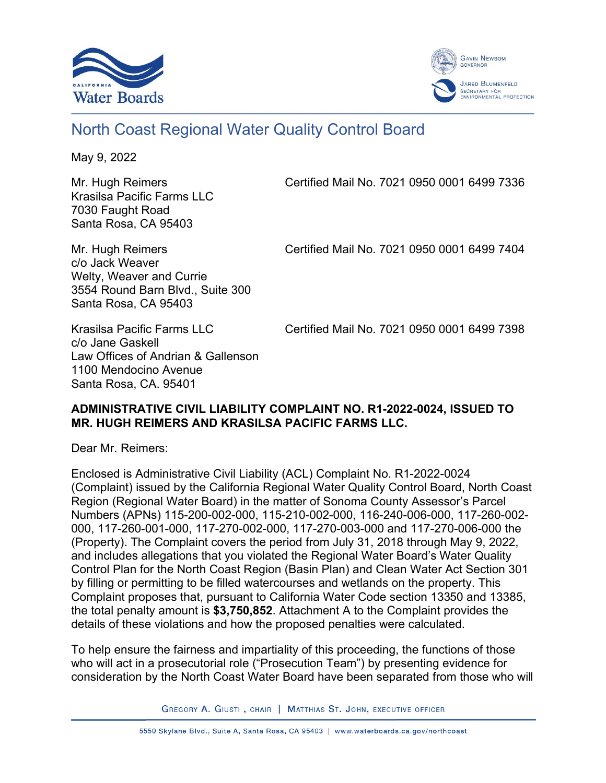



# North Coast Regional Water Quality Control Board

May 9, 2022

Krasilsa Pacific Farms LLC 7030 Faught Road Santa Rosa, CA 95403

Mr. Hugh Reimers Certified Mail No. 7021 0950 0001 6499 7336

c/o Jack Weaver Welty, Weaver and Currie 3554 Round Barn Blvd., Suite 300 Santa Rosa, CA 95403

Mr. Hugh Reimers Certified Mail No. 7021 0950 0001 6499 7404

Krasilsa Pacific Farms LLC Certified Mail No. 7021 0950 0001 6499 7398

c/o Jane Gaskell Law Offices of Andrian & Gallenson 1100 Mendocino Avenue Santa Rosa, CA. 95401

#### **ADMINISTRATIVE CIVIL LIABILITY COMPLAINT NO. R1-2022-0024, ISSUED TO MR. HUGH REIMERS AND KRASILSA PACIFIC FARMS LLC.**

Dear Mr. Reimers:

Enclosed is Administrative Civil Liability (ACL) Complaint No. R1-2022-0024 (Complaint) issued by the California Regional Water Quality Control Board, North Coast Region (Regional Water Board) in the matter of Sonoma County Assessor's Parcel Numbers (APNs) 115-200-002-000, 115-210-002-000, 116-240-006-000, 117-260-002- 000, 117-260-001-000, 117-270-002-000, 117-270-003-000 and 117-270-006-000 the (Property). The Complaint covers the period from July 31, 2018 through May 9, 2022, and includes allegations that you violated the Regional Water Board's Water Quality Control Plan for the North Coast Region (Basin Plan) and Clean Water Act Section 301 by filling or permitting to be filled watercourses and wetlands on the property. This Complaint proposes that, pursuant to California Water Code section 13350 and 13385, the total penalty amount is **\$3,750,852**. Attachment A to the Complaint provides the details of these violations and how the proposed penalties were calculated.

To help ensure the fairness and impartiality of this proceeding, the functions of those who will act in a prosecutorial role ("Prosecution Team") by presenting evidence for consideration by the North Coast Water Board have been separated from those who will

GREGORY A. GIUSTI, CHAIR | MATTHIAS ST. JOHN, EXECUTIVE OFFICER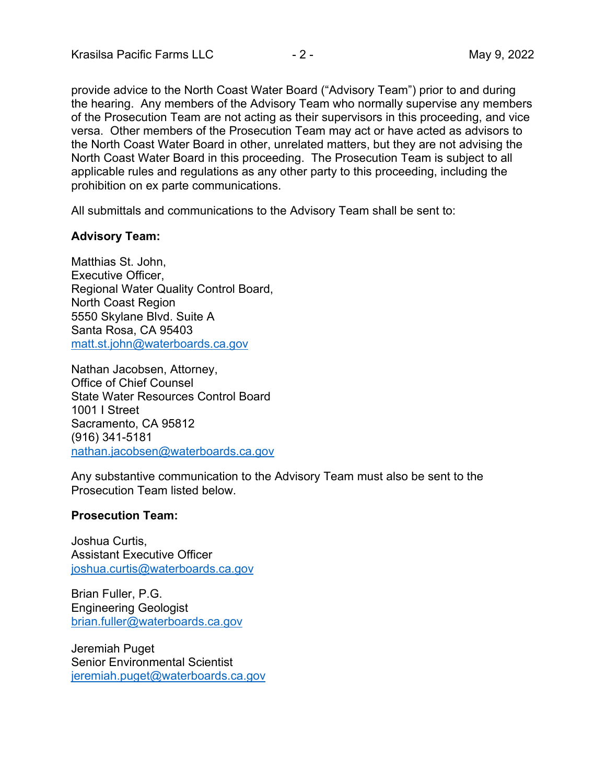provide advice to the North Coast Water Board ("Advisory Team") prior to and during the hearing. Any members of the Advisory Team who normally supervise any members of the Prosecution Team are not acting as their supervisors in this proceeding, and vice versa. Other members of the Prosecution Team may act or have acted as advisors to the North Coast Water Board in other, unrelated matters, but they are not advising the North Coast Water Board in this proceeding. The Prosecution Team is subject to all applicable rules and regulations as any other party to this proceeding, including the prohibition on ex parte communications.

All submittals and communications to the Advisory Team shall be sent to:

#### **Advisory Team:**

Matthias St. John, Executive Officer, Regional Water Quality Control Board, North Coast Region 5550 Skylane Blvd. Suite A Santa Rosa, CA 95403 [matt.st.john@waterboards.ca.gov](mailto:matt.st.john@waterboards.ca.gov)

Nathan Jacobsen, Attorney, Office of Chief Counsel State Water Resources Control Board 1001 I Street Sacramento, CA 95812 (916) 341-5181 [nathan.jacobsen@waterboards.ca.gov](mailto:nathan.jacobsen@waterboards.ca.gov)

Any substantive communication to the Advisory Team must also be sent to the Prosecution Team listed below.

### **Prosecution Team:**

Joshua Curtis, Assistant Executive Officer [joshua.curtis@waterboards.ca.gov](mailto:joshua.curtis@waterboards.ca.gov)

Brian Fuller, P.G. Engineering Geologist [brian.fuller@waterboards.ca.gov](mailto:brian.fuller@waterboards.ca.gov)

Jeremiah Puget Senior Environmental Scientist [jeremiah.puget@waterboards.ca.gov](mailto:jeremiah.puget@waterboards.ca.gov)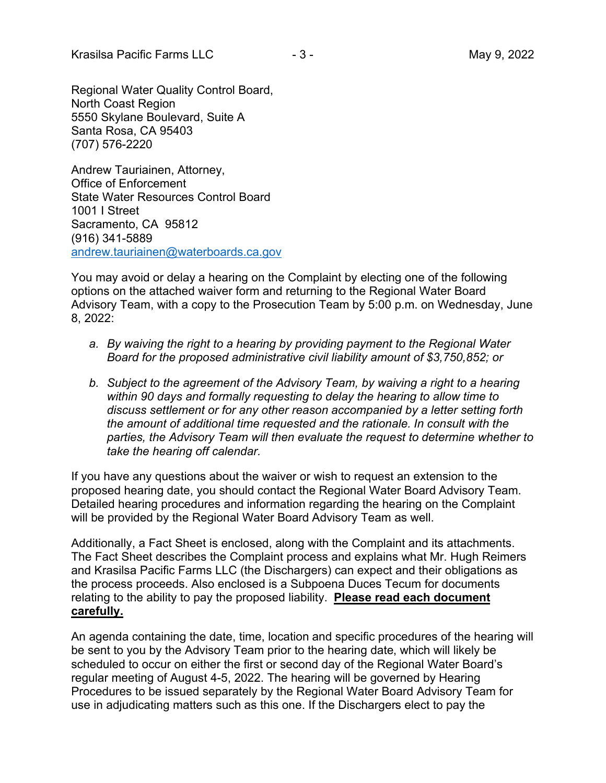Regional Water Quality Control Board, North Coast Region 5550 Skylane Boulevard, Suite A Santa Rosa, CA 95403 (707) 576-2220

Andrew Tauriainen, Attorney, Office of Enforcement State Water Resources Control Board 1001 I Street Sacramento, CA 95812 (916) 341-5889 [andrew.tauriainen@waterboards.ca.gov](mailto:andrew.tauriainen@waterboards.ca.gov)

You may avoid or delay a hearing on the Complaint by electing one of the following options on the attached waiver form and returning to the Regional Water Board Advisory Team, with a copy to the Prosecution Team by 5:00 p.m. on Wednesday, June 8, 2022:

- *a. By waiving the right to a hearing by providing payment to the Regional Water Board for the proposed administrative civil liability amount of \$3,750,852; or*
- *b. Subject to the agreement of the Advisory Team, by waiving a right to a hearing within 90 days and formally requesting to delay the hearing to allow time to discuss settlement or for any other reason accompanied by a letter setting forth the amount of additional time requested and the rationale. In consult with the parties, the Advisory Team will then evaluate the request to determine whether to take the hearing off calendar.*

If you have any questions about the waiver or wish to request an extension to the proposed hearing date, you should contact the Regional Water Board Advisory Team. Detailed hearing procedures and information regarding the hearing on the Complaint will be provided by the Regional Water Board Advisory Team as well.

Additionally, a Fact Sheet is enclosed, along with the Complaint and its attachments. The Fact Sheet describes the Complaint process and explains what Mr. Hugh Reimers and Krasilsa Pacific Farms LLC (the Dischargers) can expect and their obligations as the process proceeds. Also enclosed is a Subpoena Duces Tecum for documents relating to the ability to pay the proposed liability. **Please read each document carefully.** 

An agenda containing the date, time, location and specific procedures of the hearing will be sent to you by the Advisory Team prior to the hearing date, which will likely be scheduled to occur on either the first or second day of the Regional Water Board's regular meeting of August 4-5, 2022. The hearing will be governed by Hearing Procedures to be issued separately by the Regional Water Board Advisory Team for use in adjudicating matters such as this one. If the Dischargers elect to pay the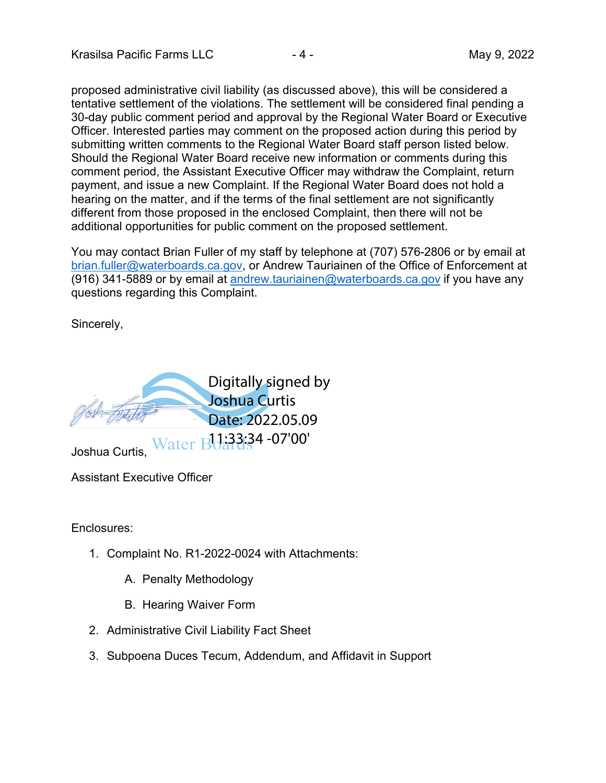proposed administrative civil liability (as discussed above), this will be considered a tentative settlement of the violations. The settlement will be considered final pending a 30-day public comment period and approval by the Regional Water Board or Executive Officer. Interested parties may comment on the proposed action during this period by submitting written comments to the Regional Water Board staff person listed below. Should the Regional Water Board receive new information or comments during this comment period, the Assistant Executive Officer may withdraw the Complaint, return payment, and issue a new Complaint. If the Regional Water Board does not hold a hearing on the matter, and if the terms of the final settlement are not significantly different from those proposed in the enclosed Complaint, then there will not be additional opportunities for public comment on the proposed settlement.

You may contact Brian Fuller of my staff by telephone at (707) 576-2806 or by email at [brian.fuller@waterboards.ca.gov,](mailto:brian.fuller@waterboards.ca.gov) or Andrew Tauriainen of the Office of Enforcement at (916) 341-5889 or by email at [andrew.tauriainen@waterboards.ca.gov](mailto:andrew.tauriainen@waterboards.ca.gov) if you have any questions regarding this Complaint.

Sincerely,



Assistant Executive Officer

Enclosures:

- 1. Complaint No. R1-2022-0024 with Attachments:
	- A. Penalty Methodology
	- B. Hearing Waiver Form
- 2. Administrative Civil Liability Fact Sheet
- 3. Subpoena Duces Tecum, Addendum, and Affidavit in Support